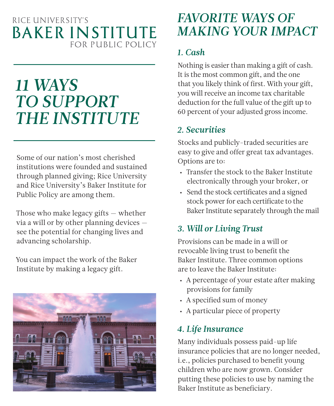### RICE UNIVERSITY'S **BAKER INSTITUTE** FOR PUBLIC POLICY

# *11 WAYS TO SUPPORT THE INSTITUTE*

Some of our nation's most cherished institutions were founded and sustained through planned giving; Rice University and Rice University's Baker Institute for Public Policy are among them.

Those who make legacy gifts — whether via a will or by other planning devices see the potential for changing lives and advancing scholarship.

You can impact the work of the Baker Institute by making a legacy gift.



### *FAVORITE WAYS OF MAKING YOUR IMPACT*

#### *1. Cash*

Nothing is easier than making a gift of cash. It is the most common gift, and the one that you likely think of first. With your gift, you will receive an income tax charitable deduction for the full value of the gift up to 60 percent of your adjusted gross income.

#### *2. Securities*

Stocks and publicly-traded securities are easy to give and offer great tax advantages. Options are to:

- Transfer the stock to the Baker Institute electronically through your broker, or
- Send the stock certificates and a signed stock power for each certificate to the Baker Institute separately through the mail

#### *3. Will or Living Trust*

Provisions can be made in a will or revocable living trust to benefit the Baker Institute. Three common options are to leave the Baker Institute:

- A percentage of your estate after making provisions for family
- A specified sum of money
- A particular piece of property

#### *4. Life Insurance*

Many individuals possess paid-up life insurance policies that are no longer needed, i.e., policies purchased to benefit young children who are now grown. Consider putting these policies to use by naming the Baker Institute as beneficiary.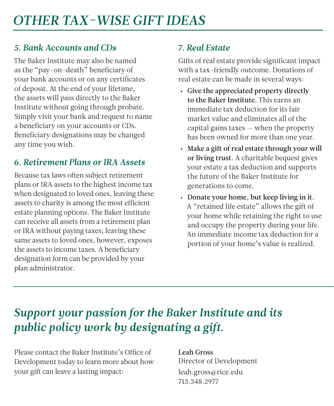#### *5. Bank Accounts and CDs*

The Baker Institute may also be named as the "pay-on-death" beneficiary of your bank accounts or on any certificates of deposit. At the end of your lifetime, the assets will pass directly to the Baker Institute without going through probate. Simply visit your bank and request to name a beneficiary on your accounts or CDs. Beneficiary designations may be changed any time you wish.

#### *6. Retirement Plans or IRA Assets*

Because tax laws often subject retirement plans or IRA assets to the highest income tax when designated to loved ones, leaving these assets to charity is among the most efficient estate planning options. The Baker Institute can receive all assets from a retirement plan or IRA without paying taxes; leaving these same assets to loved ones, however, exposes the assets to income taxes. A beneficiary designation form can be provided by your plan administrator.

#### *7. Real Estate*

Gifts of real estate provide significant impact with a tax-friendly outcome. Donations of real estate can be made in several ways:

- Give the appreciated property directly to the Baker Institute. This earns an immediate tax deduction for its fair market value and eliminates all of the capital gains taxes — when the property has been owned for more than one year.
- Make a gift of real estate through your will or living trust. A charitable bequest gives your estate a tax deduction and supports the future of the Baker Institute for generations to come.
- Donate your home, but keep living in it. A "retained life estate" allows the gift of your home while retaining the right to use and occupy the property during your life. An immediate income tax deduction for a portion of your home's value is realized.

## *Support your passion for the Baker Institute and its public policy work by designating a gift.*

Please contact the Baker Institute's Office of Development today to learn more about how your gift can leave a lasting impact:

Leah Gross Director of Development leah.gross@rice.edu 713.348.2977